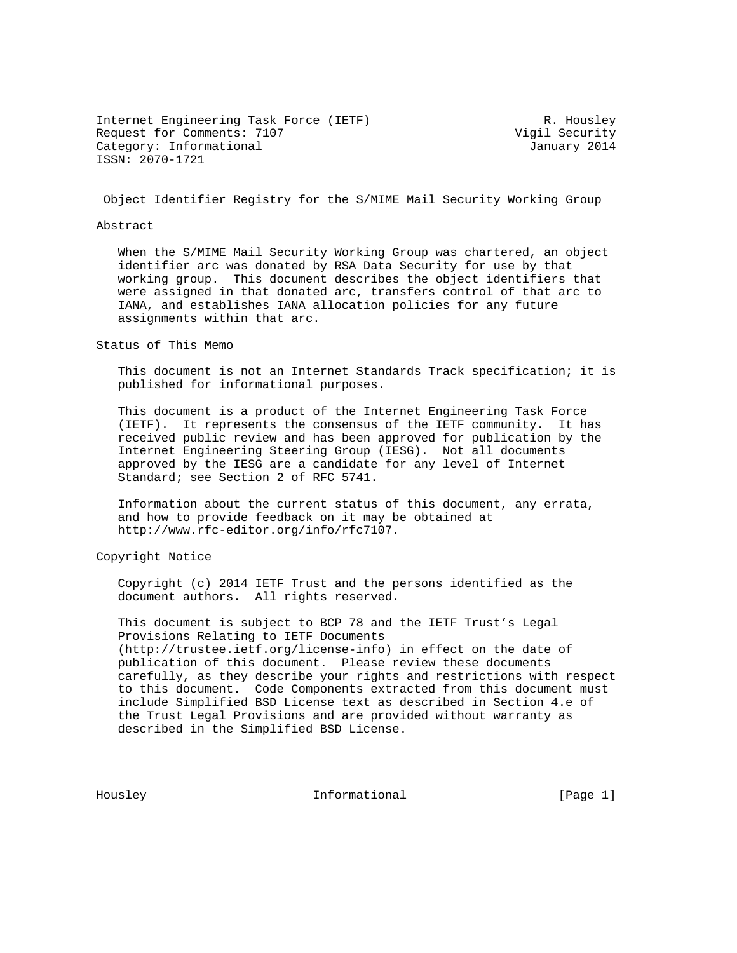Internet Engineering Task Force (IETF) R. Housley Request for Comments: 7107 and the Comments of Vigil Security Category: Informational and Category: Informational ISSN: 2070-1721

Object Identifier Registry for the S/MIME Mail Security Working Group

#### Abstract

 When the S/MIME Mail Security Working Group was chartered, an object identifier arc was donated by RSA Data Security for use by that working group. This document describes the object identifiers that were assigned in that donated arc, transfers control of that arc to IANA, and establishes IANA allocation policies for any future assignments within that arc.

Status of This Memo

 This document is not an Internet Standards Track specification; it is published for informational purposes.

 This document is a product of the Internet Engineering Task Force (IETF). It represents the consensus of the IETF community. It has received public review and has been approved for publication by the Internet Engineering Steering Group (IESG). Not all documents approved by the IESG are a candidate for any level of Internet Standard; see Section 2 of RFC 5741.

 Information about the current status of this document, any errata, and how to provide feedback on it may be obtained at http://www.rfc-editor.org/info/rfc7107.

Copyright Notice

 Copyright (c) 2014 IETF Trust and the persons identified as the document authors. All rights reserved.

 This document is subject to BCP 78 and the IETF Trust's Legal Provisions Relating to IETF Documents (http://trustee.ietf.org/license-info) in effect on the date of publication of this document. Please review these documents carefully, as they describe your rights and restrictions with respect to this document. Code Components extracted from this document must include Simplified BSD License text as described in Section 4.e of the Trust Legal Provisions and are provided without warranty as described in the Simplified BSD License.

Housley **Informational** [Page 1]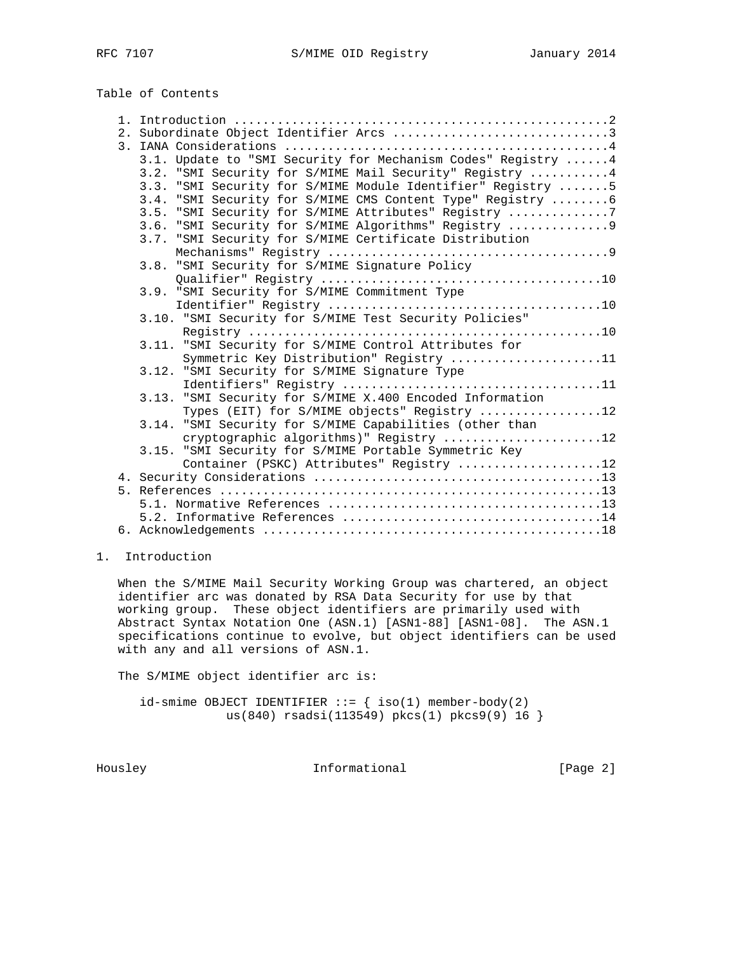## Table of Contents

|  | 3.1. Update to "SMI Security for Mechanism Codes" Registry  4 |  |
|--|---------------------------------------------------------------|--|
|  | 3.2. "SMI Security for S/MIME Mail Security" Registry  4      |  |
|  | 3.3. "SMI Security for S/MIME Module Identifier" Registry  5  |  |
|  | 3.4. "SMI Security for S/MIME CMS Content Type" Registry  6   |  |
|  | 3.5. "SMI Security for S/MIME Attributes" Registry 7          |  |
|  | 3.6. "SMI Security for S/MIME Algorithms" Registry  9         |  |
|  | 3.7. "SMI Security for S/MIME Certificate Distribution        |  |
|  |                                                               |  |
|  | 3.8. "SMI Security for S/MIME Signature Policy                |  |
|  |                                                               |  |
|  | 3.9. "SMI Security for S/MIME Commitment Type                 |  |
|  |                                                               |  |
|  | 3.10. "SMI Security for S/MIME Test Security Policies"        |  |
|  |                                                               |  |
|  | 3.11. "SMI Security for S/MIME Control Attributes for         |  |
|  | Symmetric Key Distribution" Registry 11                       |  |
|  | 3.12. "SMI Security for S/MIME Signature Type                 |  |
|  |                                                               |  |
|  | 3.13. "SMI Security for S/MIME X.400 Encoded Information      |  |
|  | Types (EIT) for S/MIME objects" Registry 12                   |  |
|  | 3.14. "SMI Security for S/MIME Capabilities (other than       |  |
|  | cryptographic algorithms)" Registry 12                        |  |
|  | 3.15. "SMI Security for S/MIME Portable Symmetric Key         |  |
|  | Container (PSKC) Attributes" Registry 12                      |  |
|  |                                                               |  |
|  |                                                               |  |
|  |                                                               |  |
|  |                                                               |  |
|  |                                                               |  |

### 1. Introduction

 When the S/MIME Mail Security Working Group was chartered, an object identifier arc was donated by RSA Data Security for use by that working group. These object identifiers are primarily used with Abstract Syntax Notation One (ASN.1) [ASN1-88] [ASN1-08]. The ASN.1 specifications continue to evolve, but object identifiers can be used with any and all versions of ASN.1.

The S/MIME object identifier arc is:

 $id$ -smime OBJECT IDENTIFIER ::= { iso(1) member-body(2) us(840) rsadsi(113549) pkcs(1) pkcs9(9) 16 }

Housley **Informational Informational** [Page 2]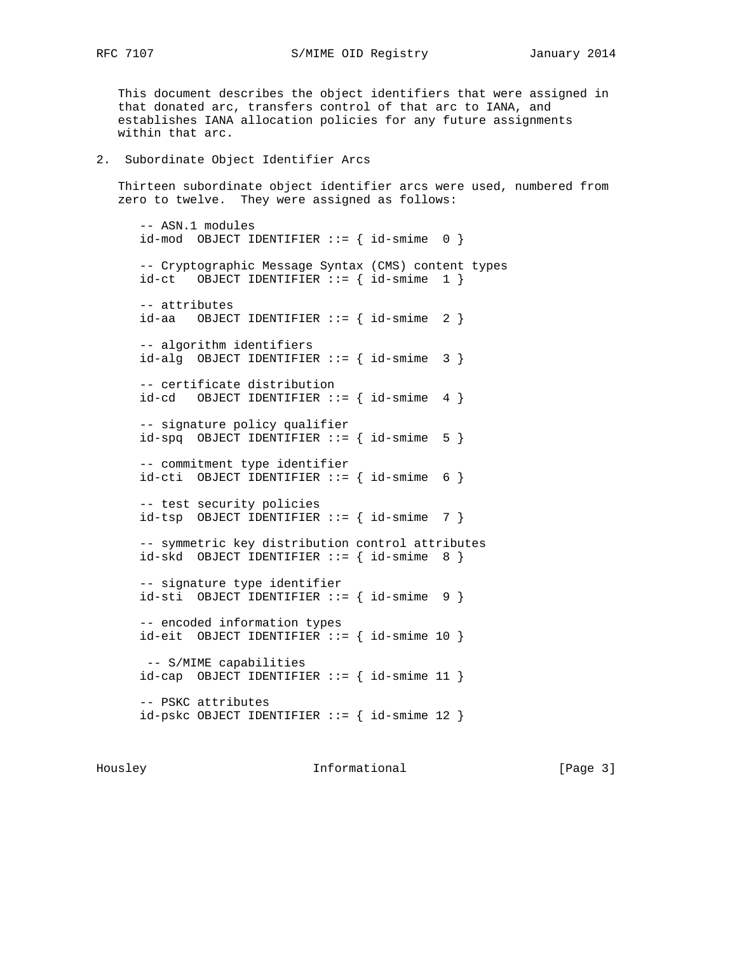RFC 7107 S/MIME OID Registry January 2014

 This document describes the object identifiers that were assigned in that donated arc, transfers control of that arc to IANA, and establishes IANA allocation policies for any future assignments within that arc.

#### 2. Subordinate Object Identifier Arcs

 Thirteen subordinate object identifier arcs were used, numbered from zero to twelve. They were assigned as follows:

 -- ASN.1 modules  $id$ -mod OBJECT IDENTIFIER ::= {  $id$ -smime 0 } -- Cryptographic Message Syntax (CMS) content types  $id-ct$  OBJECT IDENTIFIER  $\cdot := \{ id - \text{smime } 1 \}$  -- attributes  $id$ -aa OBJECT IDENTIFIER ::= {  $id$ -smime 2 } -- algorithm identifiers  $id$ -alg OBJECT IDENTIFIER ::= {  $id$ -smime 3 } -- certificate distribution  $id-cd$  OBJECT IDENTIFIER ::= {  $id$ -smime 4 } -- signature policy qualifier  $id$ -spq OBJECT IDENTIFIER ::= {  $id$ -smime 5 } -- commitment type identifier  $id-cti$  OBJECT IDENTIFIER ::= {  $id-smime$  6 } -- test security policies  $id-tsp$  OBJECT IDENTIFIER ::= {  $id-smime$  7 } -- symmetric key distribution control attributes  $id$ -skd OBJECT IDENTIFIER ::= {  $id$ -smime 8 } -- signature type identifier  $id$ -sti OBJECT IDENTIFIER ::= {  $id$ -smime 9 } -- encoded information types  $id$ -eit OBJECT IDENTIFIER ::= {  $id$ -smime 10 } -- S/MIME capabilities  $id-cap$  OBJECT IDENTIFIER ::= {  $id$ -smime 11 } -- PSKC attributes id-pskc OBJECT IDENTIFIER ::= { id-smime 12 }

Housley **Informational** [Page 3]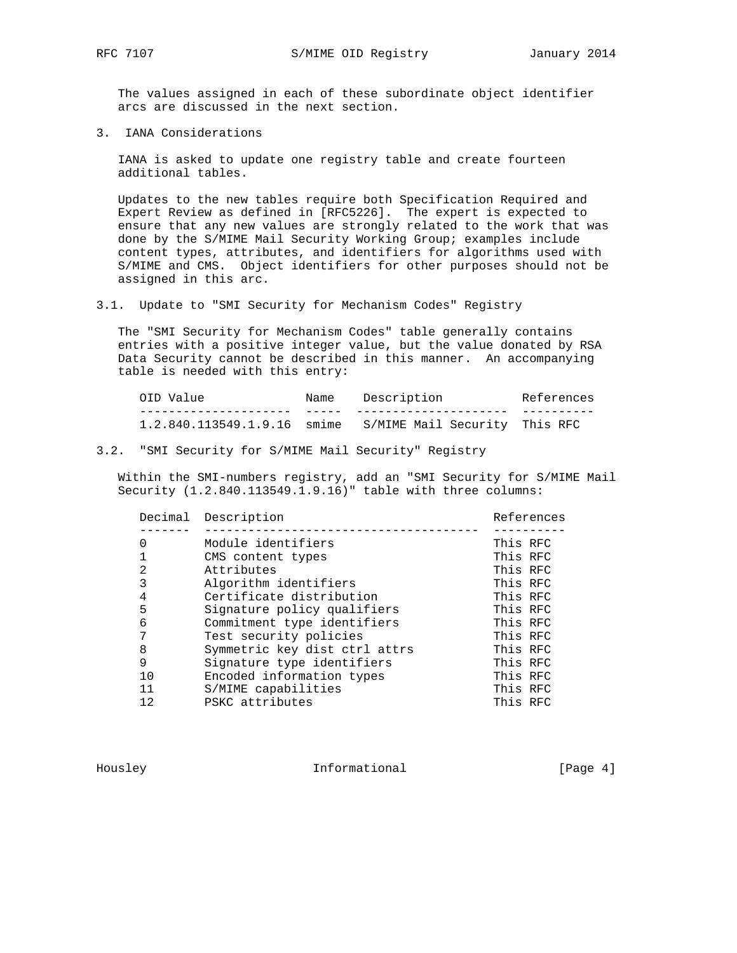The values assigned in each of these subordinate object identifier arcs are discussed in the next section.

3. IANA Considerations

 IANA is asked to update one registry table and create fourteen additional tables.

 Updates to the new tables require both Specification Required and Expert Review as defined in [RFC5226]. The expert is expected to ensure that any new values are strongly related to the work that was done by the S/MIME Mail Security Working Group; examples include content types, attributes, and identifiers for algorithms used with S/MIME and CMS. Object identifiers for other purposes should not be assigned in this arc.

3.1. Update to "SMI Security for Mechanism Codes" Registry

 The "SMI Security for Mechanism Codes" table generally contains entries with a positive integer value, but the value donated by RSA Data Security cannot be described in this manner. An accompanying table is needed with this entry:

| OID Value                   | Name | Description                   | References |
|-----------------------------|------|-------------------------------|------------|
|                             |      |                               |            |
| 1.2.840.113549.1.9.16 smime |      | S/MIME Mail Security This RFC |            |

#### 3.2. "SMI Security for S/MIME Mail Security" Registry

 Within the SMI-numbers registry, add an "SMI Security for S/MIME Mail Security (1.2.840.113549.1.9.16)" table with three columns:

|                | Decimal Description           | References |
|----------------|-------------------------------|------------|
|                |                               |            |
| 0              | Module identifiers            | This RFC   |
|                | CMS content types             | This RFC   |
| $\overline{2}$ | Attributes                    | This RFC   |
| 3              | Algorithm identifiers         | This RFC   |
| 4              | Certificate distribution      | This RFC   |
| 5              | Signature policy qualifiers   | This RFC   |
| 6              | Commitment type identifiers   | This RFC   |
| 7              | Test security policies        | This RFC   |
| 8              | Symmetric key dist ctrl attrs | This RFC   |
| 9              | Signature type identifiers    | This RFC   |
| 10             | Encoded information types     | This RFC   |
| 11             | S/MIME capabilities           | This RFC   |
| 12             | PSKC attributes               | This RFC   |

Housley **Informational** [Page 4]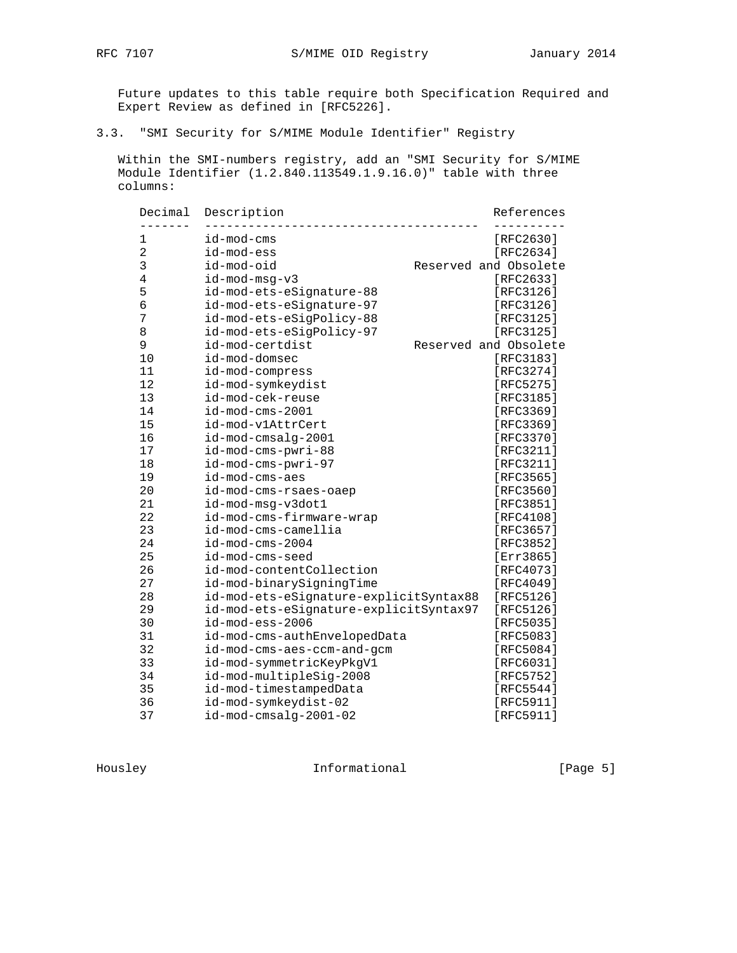# 3.3. "SMI Security for S/MIME Module Identifier" Registry

 Within the SMI-numbers registry, add an "SMI Security for S/MIME Module Identifier (1.2.840.113549.1.9.16.0)" table with three columns:

| Decimal<br>------ | Description                            | References            |
|-------------------|----------------------------------------|-----------------------|
| 1                 | id-mod-cms                             | [RFC2630]             |
| $\overline{2}$    | id-mod-ess                             | [RFC2634]             |
| 3                 | id-mod-oid                             | Reserved and Obsolete |
| 4                 | id-mod-msg-v3                          | [RFC2633]             |
| 5                 | id-mod-ets-eSignature-88               | [RFC3126]             |
| 6                 | id-mod-ets-eSignature-97               | [RFC3126]             |
| 7                 | id-mod-ets-eSigPolicy-88               | [RFC3125]             |
| 8                 | id-mod-ets-eSigPolicy-97               | [RFC3125]             |
| 9                 | id-mod-certdist                        | Reserved and Obsolete |
| 10                | id-mod-domsec                          | [RFC3183]             |
| 11                | id-mod-compress                        | [RFC3274]             |
| 12                | id-mod-symkeydist                      | [RFC5275]             |
| 13                | id-mod-cek-reuse                       | [RFC3185]             |
| 14                | $id$ -mod-cms-2001                     | [RFC3369]             |
| 15                | id-mod-v1AttrCert                      | [RFC3369]             |
| 16                | id-mod-cmsalg-2001                     | [RFC3370]             |
| 17                | id-mod-cms-pwri-88                     | [RFC3211]             |
| 18                | id-mod-cms-pwri-97                     | [RFC3211]             |
| 19                | id-mod-cms-aes                         | [RFC3565]             |
| 20                | id-mod-cms-rsaes-oaep                  | [ $RFC3560$ ]         |
| 21                | id-mod-msg-v3dot1                      | [RFC3851]             |
| 22                | id-mod-cms-firmware-wrap               | [RFC4108]             |
| 23                | id-mod-cms-camellia                    | [RFC3657]             |
| 24                | $id$ -mod-cms-2004                     | [RFC3852]             |
| 25                | id-mod-cms-seed                        | [Err3865]             |
| 26                | id-mod-contentCollection               | [RFC4073]             |
| 27                | id-mod-binarySigningTime               | [RFC4049]             |
| 28                | id-mod-ets-eSignature-explicitSyntax88 | [RFC5126]             |
| 29                | id-mod-ets-eSignature-explicitSyntax97 | [RFC5126]             |
| 30                | id-mod-ess-2006                        | [RFC5035]             |
| 31                | id-mod-cms-authEnvelopedData           | [RFC5083]             |
| 32                | id-mod-cms-aes-ccm-and-gcm             | [RFC5084]             |
| 33                | id-mod-symmetricKeyPkgV1               | [RFC6031]             |
| 34                | id-mod-multipleSig-2008                | [RFC5752]             |
| 35                | id-mod-timestampedData                 | [RFC5544]             |
| 36                | id-mod-symkeydist-02                   | [RFC5911]             |
| 37                | id-mod-cmsalg-2001-02                  | [RFC5911]             |

Housley **Informational Informational** [Page 5]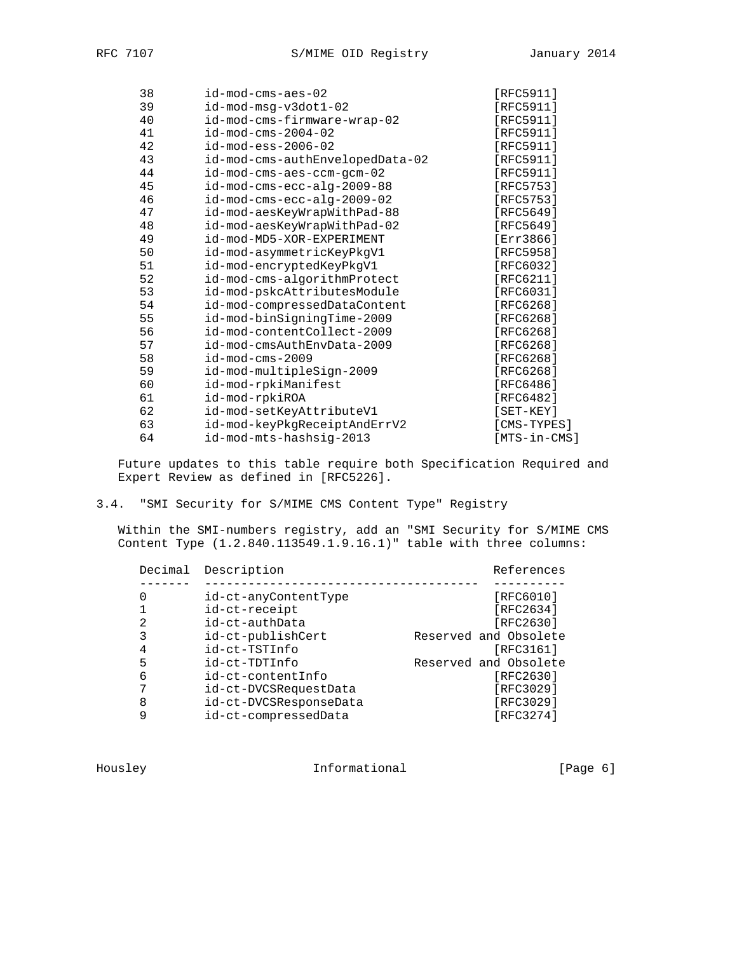| 38 | id-mod-cms-aes-02               | $[RFC5911]$    |
|----|---------------------------------|----------------|
| 39 | id-mod-msg-v3dot1-02            | [RFC5911]      |
| 40 | id-mod-cms-firmware-wrap-02     | [ $RFC5911$ ]  |
| 41 | $id$ -mod-cms-2004-02           | $[RFC5911]$    |
| 42 | $id$ -mod-ess-2006-02           | [ $RFC5911$ ]  |
| 43 | id-mod-cms-authEnvelopedData-02 | [RFC5911]      |
| 44 | id-mod-cms-aes-ccm-gcm-02       | [RFC5911]      |
| 45 | id-mod-cms-ecc-alg-2009-88      | [RFC5753]      |
| 46 | id-mod-cms-ecc-alg-2009-02      | [RFC5753]      |
| 47 | id-mod-aesKeyWrapWithPad-88     | [RFC5649]      |
| 48 | id-mod-aesKeyWrapWithPad-02     | [RFC5649]      |
| 49 | id-mod-MD5-XOR-EXPERIMENT       | [Err3866]      |
| 50 | id-mod-asymmetricKeyPkgV1       | [RFC5958]      |
| 51 | id-mod-encryptedKeyPkgV1        | [RFC6032]      |
| 52 | id-mod-cms-algorithmProtect     | [ $RFC6211$ ]  |
| 53 | id-mod-pskcAttributesModule     | [ $RFC6031$ ]  |
| 54 | id-mod-compressedDataContent    | [RFC6268]      |
| 55 | id-mod-binSigningTime-2009      | [ $RFC6268$ ]  |
| 56 | id-mod-contentCollect-2009      | [RFC6268]      |
| 57 | id-mod-cmsAuthEnvData-2009      | [RFC6268]      |
| 58 | $id$ -mod-cms-2009              | [RFC6268]      |
| 59 | id-mod-multipleSign-2009        | [RFC6268]      |
| 60 | id-mod-rpkiManifest             | [RFC6486]      |
| 61 | id-mod-rpkiROA                  | [RFC6482]      |
| 62 | id-mod-setKeyAttributeV1        | $[SET - KEY]$  |
| 63 | id-mod-keyPkgReceiptAndErrV2    | [CMS-TYPES]    |
| 64 | id-mod-mts-hashsig-2013         | $[MTS-in-CMS]$ |
|    |                                 |                |

3.4. "SMI Security for S/MIME CMS Content Type" Registry

 Within the SMI-numbers registry, add an "SMI Security for S/MIME CMS Content Type (1.2.840.113549.1.9.16.1)" table with three columns:

|   | Decimal Description    | References            |
|---|------------------------|-----------------------|
|   |                        |                       |
|   | id-ct-anyContentType   | [RFC6010]             |
|   | id-ct-receipt          | [RFC2634]             |
| 2 | id-ct-authData         | [RFC2630]             |
| 3 | id-ct-publishCert      | Reserved and Obsolete |
|   | id-ct-TSTInfo          | [RFC3161]             |
| 5 | id-ct-TDTInfo          | Reserved and Obsolete |
| 6 | id-ct-contentInfo      | [RFC2630]             |
| 7 | id-ct-DVCSRequestData  | [RFC3029]             |
| 8 | id-ct-DVCSResponseData | [RFC3029]             |
|   | id-ct-compressedData   | [RFC3274]             |
|   |                        |                       |

Housley 100 Informational [Page 6]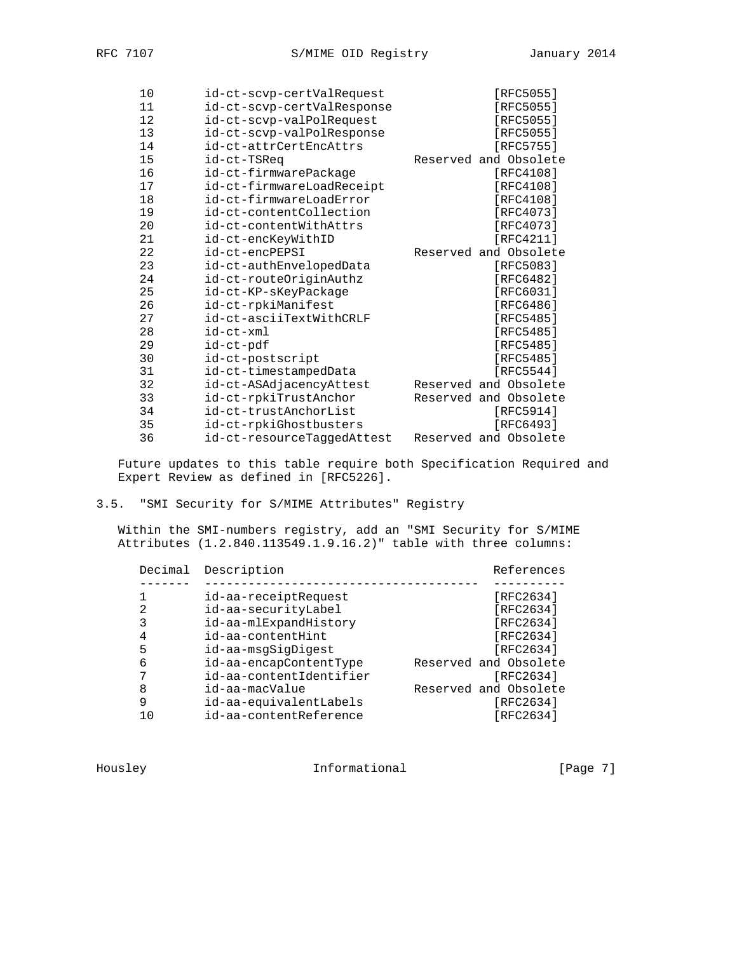| 10 | id-ct-scvp-certValRequest  | [RFC5055]             |
|----|----------------------------|-----------------------|
| 11 | id-ct-scvp-certValResponse | [RFC5055]             |
| 12 | id-ct-scvp-valPolRequest   | [RFC5055]             |
| 13 | id-ct-scvp-valPolResponse  | [RFC5055]             |
| 14 | id-ct-attrCertEncAttrs     | [RFC5755]             |
| 15 | id-ct-TSReq                | Reserved and Obsolete |
| 16 | id-ct-firmwarePackage      | [RFC4108]             |
| 17 | id-ct-firmwareLoadReceipt  | [RFC4108]             |
| 18 | id-ct-firmwareLoadError    | [ $RFC4108$ ]         |
| 19 | id-ct-contentCollection    | [RFC4073]             |
| 20 | id-ct-contentWithAttrs     | [RFC4073]             |
| 21 | id-ct-encKeyWithID         | [RFC4211]             |
| 22 | id-ct-encPEPSI             | Reserved and Obsolete |
| 23 | id-ct-authEnvelopedData    | [RFC5083]             |
| 24 | id-ct-routeOriginAuthz     | [ $RFC6482$ ]         |
| 25 | id-ct-KP-sKeyPackage       | [RFC6031]             |
| 26 | id-ct-rpkiManifest         | [RFC6486]             |
| 27 | id-ct-asciiTextWithCRLF    | [RFC5485]             |
| 28 | id-ct-xml                  | [RFC5485]             |
| 29 | id-ct-pdf                  | [RFC5485]             |
| 30 | id-ct-postscript           | [RFC5485]             |
| 31 | id-ct-timestampedData      | [RFC5544]             |
| 32 | id-ct-ASAdjacencyAttest    | Reserved and Obsolete |
| 33 | id-ct-rpkiTrustAnchor      | Reserved and Obsolete |
| 34 | id-ct-trustAnchorList      | [RFC5914]             |
| 35 | id-ct-rpkiGhostbusters     | [RFC6493]             |
| 36 | id-ct-resourceTaggedAttest | Reserved and Obsolete |

3.5. "SMI Security for S/MIME Attributes" Registry

 Within the SMI-numbers registry, add an "SMI Security for S/MIME Attributes (1.2.840.113549.1.9.16.2)" table with three columns:

| Decimal | Description             | References            |
|---------|-------------------------|-----------------------|
|         |                         |                       |
|         | id-aa-receiptRequest    | [RFC2634]             |
| 2       | id-aa-securityLabel     | [RFC2634]             |
| 3       | id-aa-mlExpandHistory   | [RFC2634]             |
| 4       | id-aa-contentHint       | [RFC2634]             |
| 5       | id-aa-msqSiqDiqest      | [RFC2634]             |
| 6       | id-aa-encapContentType  | Reserved and Obsolete |
|         | id-aa-contentIdentifier | [RFC2634]             |
| 8       | id-aa-macValue          | Reserved and Obsolete |
| 9       | id-aa-equivalentLabels  | [RFC2634]             |
|         | id-aa-contentReference  | [RFC2634]             |
|         |                         |                       |

Housley **Informational Informational** [Page 7]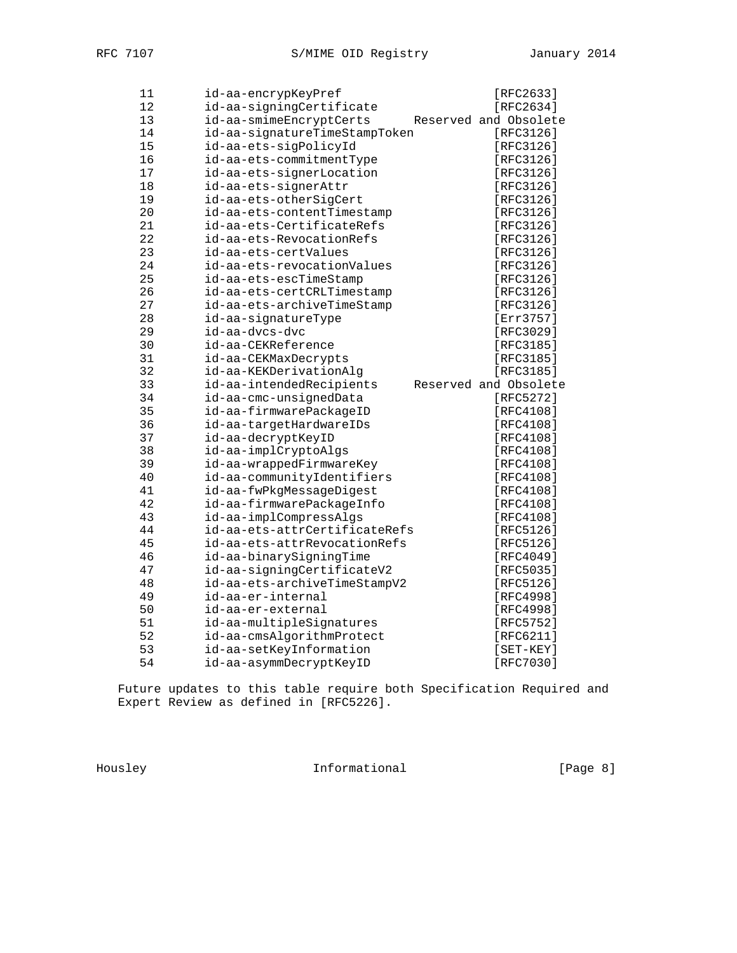| 11     | id-aa-encrypKeyPref                                        | [RFC2633]             |
|--------|------------------------------------------------------------|-----------------------|
| 12     | id-aa-signingCertificate                                   | [RFC2634]             |
| 13     | id-aa-smimeEncryptCerts                                    | Reserved and Obsolete |
| 14     | id-aa-signatureTimeStampToken                              | [RFC3126]             |
| 15     | id-aa-ets-sigPolicyId                                      | [RFC3126]             |
| 16     | id-aa-ets-commitmentType                                   | [RFC3126]             |
| 17     | id-aa-ets-signerLocation                                   | [RFC3126]             |
| $18\,$ | id-aa-ets-signerAttr                                       | [RFC3126]             |
| 19     | id-aa-ets-otherSigCert                                     | [RFC3126]             |
| 20     | id-aa-ets-contentTimestamp                                 | [RFC3126]             |
| 21     | id-aa-ets-CertificateRefs                                  | [RFC3126]             |
| 22     | id-aa-ets-RevocationRefs                                   | [RFC3126]             |
| 23     | id-aa-ets-certValues                                       | [RFC3126]             |
| 24     | id-aa-ets-revocationValues                                 | [RFC3126]             |
| 25     | id-aa-ets-escTimeStamp                                     | [RFC3126]             |
| 26     | id-aa-ets-certCRLTimestamp                                 | [RFC3126]             |
| 27     | id-aa-ets-archiveTimeStamp                                 | [RFC3126]             |
| 28     | id-aa-signatureType                                        | [Err3757]             |
| 29     | id-aa-dvcs-dvc                                             | [RFC3029]             |
| 30     | id-aa-CEKReference                                         | [RFC3185]             |
| 31     | id-aa-CEKMaxDecrypts                                       | [RFC3185]             |
| 32     | id-aa-KEKDerivationAlg                                     | [RFC3185]             |
| 33     | id-aa-intendedRecipients                                   | Reserved and Obsolete |
| 34     | id-aa-cmc-unsignedData                                     | [RFC5272]             |
| 35     | id-aa-firmwarePackageID                                    | [RFC4108]             |
| 36     | id-aa-targetHardwareIDs                                    | $[RFC4108]$           |
|        |                                                            |                       |
| 37     | id-aa-decryptKeyID                                         | [RFC4108]             |
| 38     | id-aa-implCryptoAlgs                                       | [RFC4108]             |
| 39     | id-aa-wrappedFirmwareKey                                   | [RFC4108]             |
| 40     | id-aa-communityIdentifiers                                 | [RFC4108]             |
| 41     | id-aa-fwPkgMessageDigest                                   | [RFC4108]             |
| 42     | id-aa-firmwarePackageInfo                                  | [RFC4108]             |
| 43     | id-aa-implCompressAlgs                                     | [RFC4108]             |
| 44     | id-aa-ets-attrCertificateRefs                              | [RFC5126]             |
| 45     | id-aa-ets-attrRevocationRefs                               | [RFC5126]             |
| 46     | id-aa-binarySigningTime                                    | [RFC4049]             |
| 47     |                                                            | [RFC5035]             |
| 48     | id-aa-signingCertificateV2<br>id-aa-ets-archiveTimeStampV2 | [RFC5126]             |
| 49     | id-aa-er-internal                                          | [RFC4998]             |
| 50     | id-aa-er-external                                          | [RFC4998]             |
| 51     | id-aa-multipleSignatures                                   | [RFC5752]             |
| 52     | id-aa-cmsAlgorithmProtect                                  | [REC6211]             |
| 53     | id-aa-setKeyInformation                                    | $[SET - KEY]$         |
| 54     | id-aa-asymmDecryptKeyID                                    | [RFC7030]             |

Housley **Informational** [Page 8]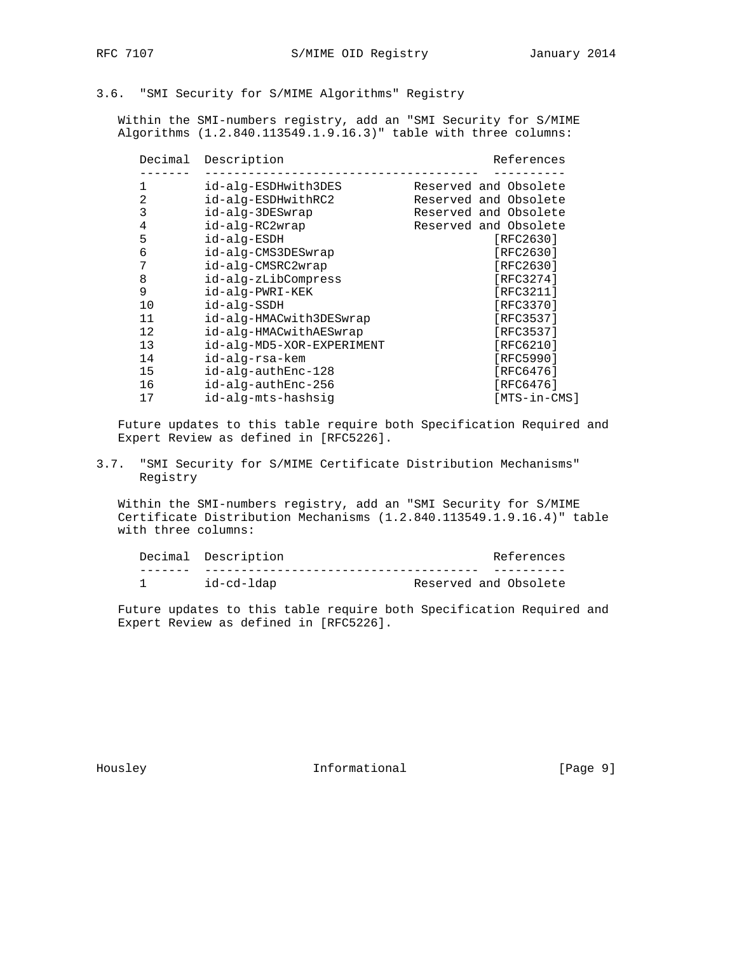## 3.6. "SMI Security for S/MIME Algorithms" Registry

 Within the SMI-numbers registry, add an "SMI Security for S/MIME Algorithms (1.2.840.113549.1.9.16.3)" table with three columns:

| Decimal | Description               | References            |
|---------|---------------------------|-----------------------|
| 1       | id-alg-ESDHwith3DES       | Reserved and Obsolete |
| 2       | id-alg-ESDHwithRC2        | Reserved and Obsolete |
| 3       | id-alg-3DESwrap           | Reserved and Obsolete |
| 4       | id-alq-RC2wrap            | Reserved and Obsolete |
| 5       | id-alg-ESDH               | [RFC2630]             |
| 6       | id-alg-CMS3DESwrap        | [RFC2630]             |
| 7       | id-alg-CMSRC2wrap         | [RFC2630]             |
| 8       | id-alg-zLibCompress       | [RFC3274]             |
| 9       | id-alg-PWRI-KEK           | [RFC3211]             |
| 10      | id-alg-SSDH               | [RFC3370]             |
| 11      | id-alg-HMACwith3DESwrap   | [RFC3537]             |
| 12      | id-alg-HMACwithAESwrap    | [RFC3537]             |
| 13      | id-alg-MD5-XOR-EXPERIMENT | [RFC6210]             |
| 14      | id-alq-rsa-kem            | [RFC5990]             |
| 15      | id-alg-authEnc-128        | [RFC6476]             |
| 16      | id-alq-authEnc-256        | [RFC6476]             |
| 17      | id-alg-mts-hashsig        | [MTS-in-CMS]          |

 Future updates to this table require both Specification Required and Expert Review as defined in [RFC5226].

3.7. "SMI Security for S/MIME Certificate Distribution Mechanisms" Registry

 Within the SMI-numbers registry, add an "SMI Security for S/MIME Certificate Distribution Mechanisms (1.2.840.113549.1.9.16.4)" table with three columns:

|  | Decimal Description |                       | References |
|--|---------------------|-----------------------|------------|
|  |                     |                       |            |
|  | id-cd-ldap          | Reserved and Obsolete |            |

 Future updates to this table require both Specification Required and Expert Review as defined in [RFC5226].

Housley **Informational** [Page 9]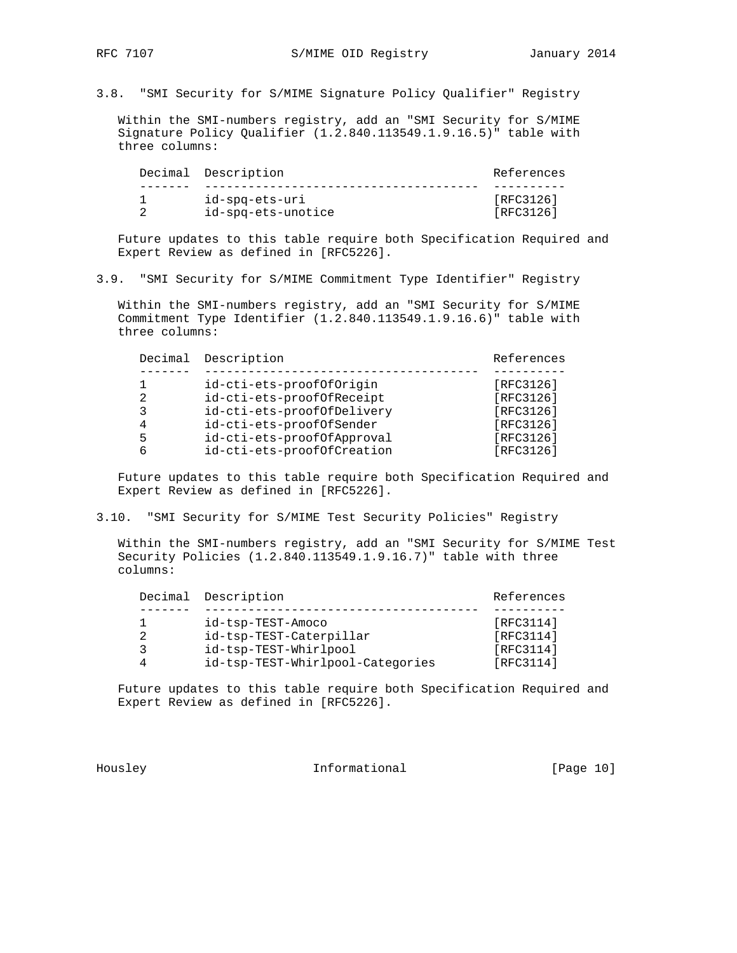3.8. "SMI Security for S/MIME Signature Policy Qualifier" Registry

 Within the SMI-numbers registry, add an "SMI Security for S/MIME Signature Policy Qualifier (1.2.840.113549.1.9.16.5)" table with three columns:

| Decimal Description | References |
|---------------------|------------|
|                     |            |
| id-spq-ets-uri      | [RFC3126]  |
| id-spg-ets-unotice  | [RFC3126]  |

 Future updates to this table require both Specification Required and Expert Review as defined in [RFC5226].

3.9. "SMI Security for S/MIME Commitment Type Identifier" Registry

 Within the SMI-numbers registry, add an "SMI Security for S/MIME Commitment Type Identifier (1.2.840.113549.1.9.16.6)" table with three columns:

|   | Decimal Description        | References |
|---|----------------------------|------------|
|   |                            |            |
|   | id-cti-ets-proofOfOrigin   | [RFC3126]  |
| 2 | id-cti-ets-proofOfReceipt  | [RFC3126]  |
| 3 | id-cti-ets-proofOfDelivery | [RFC3126]  |
|   | id-cti-ets-proofOfSender   | [RFC3126]  |
| 5 | id-cti-ets-proofOfApproval | [RFC3126]  |
|   | id-cti-ets-proofOfCreation | [RFC3126]  |

 Future updates to this table require both Specification Required and Expert Review as defined in [RFC5226].

3.10. "SMI Security for S/MIME Test Security Policies" Registry

 Within the SMI-numbers registry, add an "SMI Security for S/MIME Test Security Policies (1.2.840.113549.1.9.16.7)" table with three columns:

|  | Decimal Description              | References |
|--|----------------------------------|------------|
|  |                                  |            |
|  | id-tsp-TEST-Amoco                | [RFC3114]  |
|  | id-tsp-TEST-Caterpillar          | [RFC3114]  |
|  | id-tsp-TEST-Whirlpool            | [RFC3114]  |
|  | id-tsp-TEST-Whirlpool-Categories | [RFC3114]  |

 Future updates to this table require both Specification Required and Expert Review as defined in [RFC5226].

Housley **Informational** [Page 10]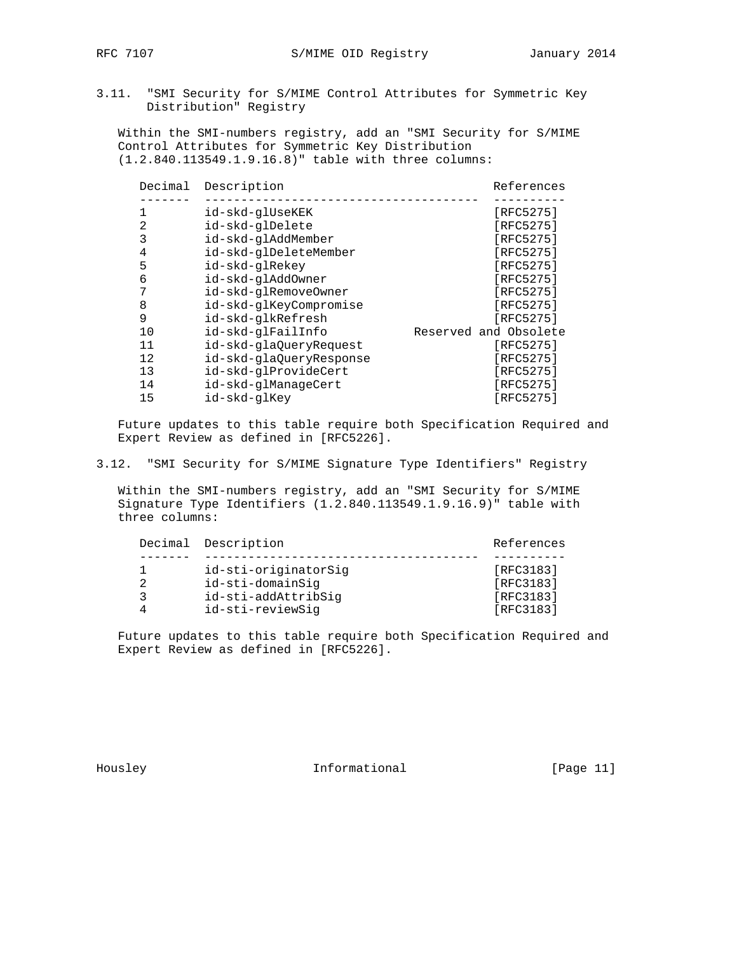3.11. "SMI Security for S/MIME Control Attributes for Symmetric Key Distribution" Registry

 Within the SMI-numbers registry, add an "SMI Security for S/MIME Control Attributes for Symmetric Key Distribution (1.2.840.113549.1.9.16.8)" table with three columns:

| Decimal | Description  |                         | References            |
|---------|--------------|-------------------------|-----------------------|
|         |              |                         |                       |
|         |              | id-skd-glUseKEK         | [RFC5275]             |
| 2       |              | id-skd-glDelete         | [RFC5275]             |
| 3       |              | id-skd-glAddMember      | [RFC5275]             |
| 4       |              | id-skd-glDeleteMember   | [RFC5275]             |
| 5       |              | id-skd-glRekey          | [RFC5275]             |
| 6       |              | id-skd-glAddOwner       | [RFC5275]             |
| 7       |              | id-skd-glRemoveOwner    | [RFC5275]             |
| 8       |              | id-skd-glKeyCompromise  | [RFC5275]             |
| 9       |              | id-skd-glkRefresh       | [RFC5275]             |
| 10      |              | id-skd-glFailInfo       | Reserved and Obsolete |
| 11      |              | id-skd-glaOueryRequest  | [RFC5275]             |
| 12      |              | id-skd-gla0ueryResponse | [RFC5275]             |
| 13      |              | id-skd-glProvideCert    | [RFC5275]             |
| 14      |              | id-skd-glManageCert     | [RFC5275]             |
| 15      | id-skd-glKey |                         | [RFC5275]             |

 Future updates to this table require both Specification Required and Expert Review as defined in [RFC5226].

3.12. "SMI Security for S/MIME Signature Type Identifiers" Registry

 Within the SMI-numbers registry, add an "SMI Security for S/MIME Signature Type Identifiers (1.2.840.113549.1.9.16.9)" table with three columns:

|  | Decimal Description  | References |
|--|----------------------|------------|
|  |                      |            |
|  | id-sti-originatorSig | [RFC3183]  |
|  | id-sti-domainSig     | [RFC3183]  |
|  | id-sti-addAttribSig  | [RFC3183]  |
|  | id-sti-reviewSig     | [RFC3183]  |

 Future updates to this table require both Specification Required and Expert Review as defined in [RFC5226].

Housley **Informational** [Page 11]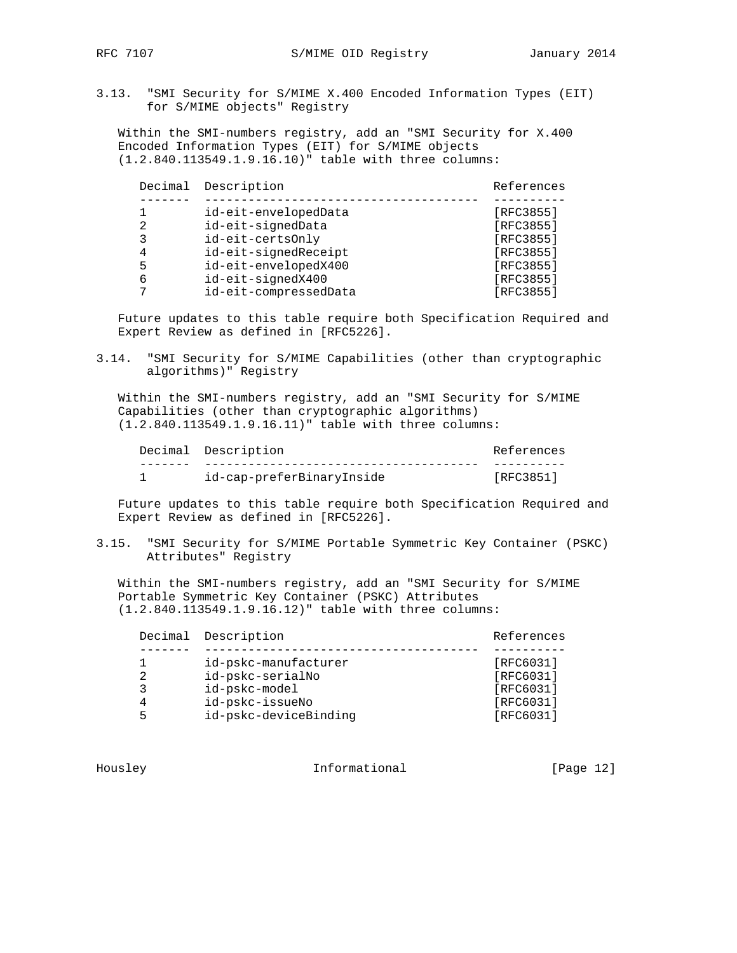3.13. "SMI Security for S/MIME X.400 Encoded Information Types (EIT) for S/MIME objects" Registry

 Within the SMI-numbers registry, add an "SMI Security for X.400 Encoded Information Types (EIT) for S/MIME objects (1.2.840.113549.1.9.16.10)" table with three columns:

| Decimal | Description           | References |
|---------|-----------------------|------------|
|         |                       |            |
|         | id-eit-envelopedData  | [RFC3855]  |
|         | id-eit-signedData     | [RFC3855]  |
|         | id-eit-certsOnly      | [RFC3855]  |
| 4       | id-eit-signedReceipt  | [RFC3855]  |
| 5       | id-eit-envelopedX400  | [RFC3855]  |
| 6       | id-eit-signedX400     | [RFC3855]  |
|         | id-eit-compressedData | [RFC3855]  |
|         |                       |            |

 Future updates to this table require both Specification Required and Expert Review as defined in [RFC5226].

3.14. "SMI Security for S/MIME Capabilities (other than cryptographic algorithms)" Registry

 Within the SMI-numbers registry, add an "SMI Security for S/MIME Capabilities (other than cryptographic algorithms) (1.2.840.113549.1.9.16.11)" table with three columns:

|  | Decimal Description       | References |
|--|---------------------------|------------|
|  |                           |            |
|  | id-cap-preferBinaryInside | [RFC3851]  |

 Future updates to this table require both Specification Required and Expert Review as defined in [RFC5226].

3.15. "SMI Security for S/MIME Portable Symmetric Key Container (PSKC) Attributes" Registry

 Within the SMI-numbers registry, add an "SMI Security for S/MIME Portable Symmetric Key Container (PSKC) Attributes (1.2.840.113549.1.9.16.12)" table with three columns:

|   | Decimal Description   | References |
|---|-----------------------|------------|
|   |                       |            |
|   | id-pskc-manufacturer  | [RFC6031]  |
| 2 | id-pskc-serialNo      | [RFC6031]  |
|   | id-pskc-model         | [RFC6031]  |
|   | id-pskc-issueNo       | [RFC6031]  |
|   | id-pskc-deviceBinding | [RFC6031]  |

Housley **Informational** [Page 12]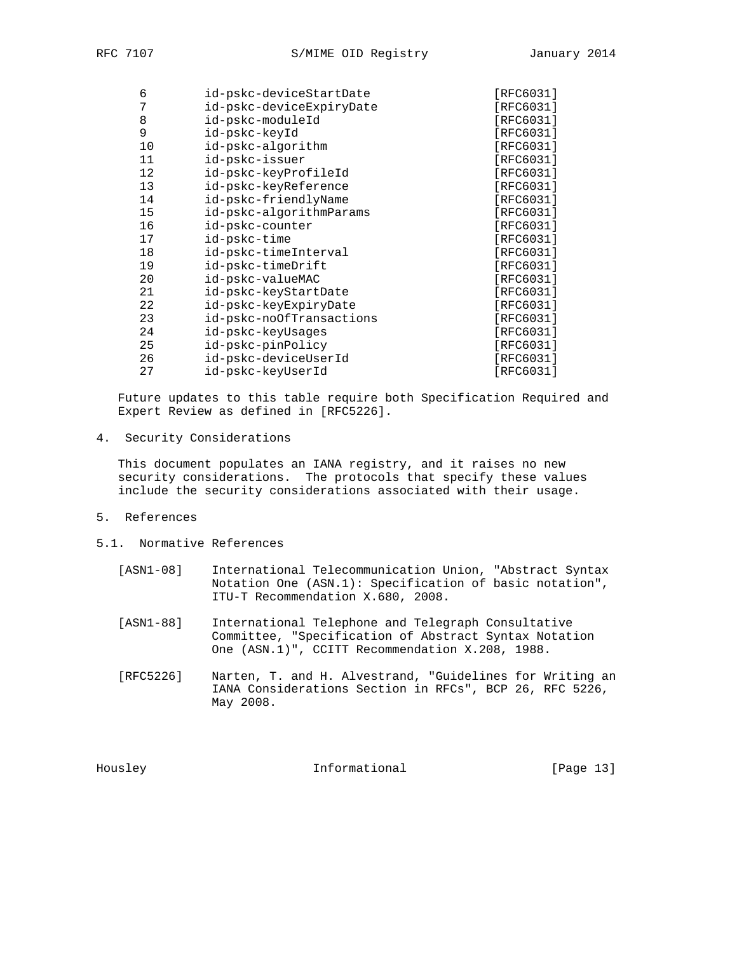| RFC. | ი |
|------|---|
|      |   |

| 6  | id-pskc-deviceStartDate  | [RFC6031]     |
|----|--------------------------|---------------|
| 7  | id-pskc-deviceExpiryDate | [RFC6031]     |
| 8  | id-pskc-moduleId         | [RFC6031]     |
| 9  | id-pskc-keyId            | [RFC6031]     |
| 10 | id-pskc-algorithm        | [RFC6031]     |
| 11 | id-pskc-issuer           | [RFC6031]     |
| 12 | id-pskc-keyProfileId     | [RFC6031]     |
| 13 | id-pskc-keyReference     | [ $RFC6031$ ] |
| 14 | id-pskc-friendlyName     | [RFC6031]     |
| 15 | id-pskc-algorithmParams  | [RFC6031]     |
| 16 | id-pskc-counter          | [RFC6031]     |
| 17 | id-pskc-time             | [RFC6031]     |
| 18 | id-pskc-timeInterval     | [RFC6031]     |
| 19 | id-pskc-timeDrift        | [RFC6031]     |
| 20 | id-pskc-valueMAC         | [RFC6031]     |
| 21 | id-pskc-keyStartDate     | [RFC6031]     |
| 22 | id-pskc-keyExpiryDate    | [RFC6031]     |
| 23 | id-pskc-noOfTransactions | [RFC6031]     |
| 24 | id-pskc-keyUsaqes        | [RFC6031]     |
| 25 | id-pskc-pinPolicy        | [RFC6031]     |
| 26 | id-pskc-deviceUserId     | [RFC6031]     |
| 27 | id-pskc-keyUserId        | [RFC6031]     |
|    |                          |               |

4. Security Considerations

 This document populates an IANA registry, and it raises no new security considerations. The protocols that specify these values include the security considerations associated with their usage.

- 5. References
- 5.1. Normative References
	- [ASN1-08] International Telecommunication Union, "Abstract Syntax Notation One (ASN.1): Specification of basic notation", ITU-T Recommendation X.680, 2008.
	- [ASN1-88] International Telephone and Telegraph Consultative Committee, "Specification of Abstract Syntax Notation One (ASN.1)", CCITT Recommendation X.208, 1988.
	- [RFC5226] Narten, T. and H. Alvestrand, "Guidelines for Writing an IANA Considerations Section in RFCs", BCP 26, RFC 5226, May 2008.

Housley **Informational** [Page 13]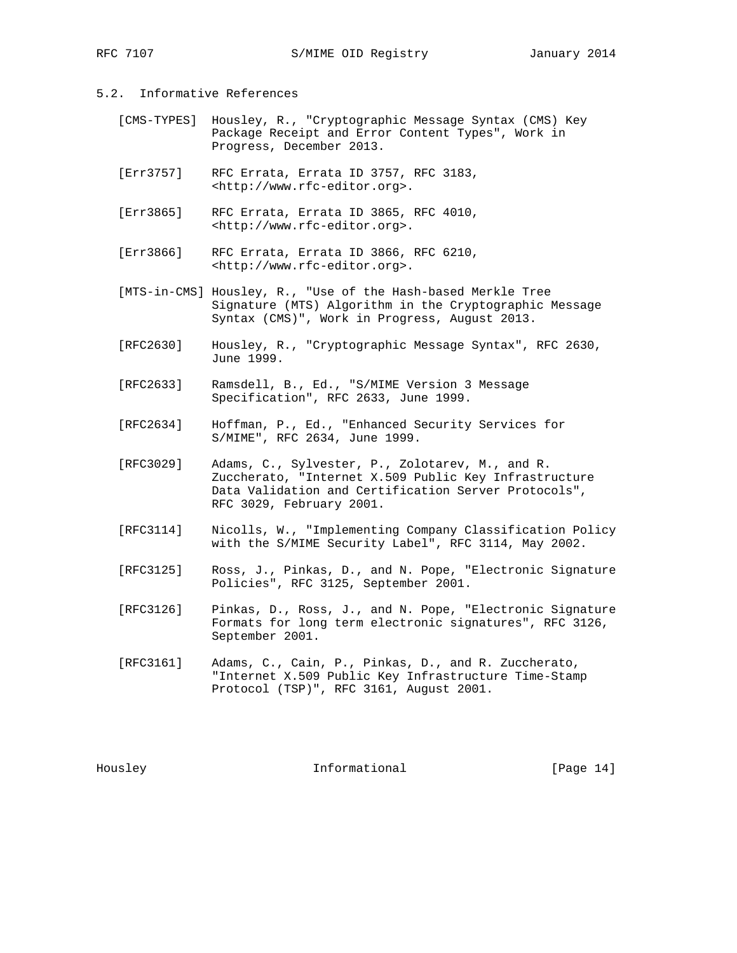- 5.2. Informative References
	- [CMS-TYPES] Housley, R., "Cryptographic Message Syntax (CMS) Key Package Receipt and Error Content Types", Work in Progress, December 2013.
	- [Err3757] RFC Errata, Errata ID 3757, RFC 3183, <http://www.rfc-editor.org>.
	- [Err3865] RFC Errata, Errata ID 3865, RFC 4010, <http://www.rfc-editor.org>.
	- [Err3866] RFC Errata, Errata ID 3866, RFC 6210, <http://www.rfc-editor.org>.
	- [MTS-in-CMS] Housley, R., "Use of the Hash-based Merkle Tree Signature (MTS) Algorithm in the Cryptographic Message Syntax (CMS)", Work in Progress, August 2013.
	- [RFC2630] Housley, R., "Cryptographic Message Syntax", RFC 2630, June 1999.
	- [RFC2633] Ramsdell, B., Ed., "S/MIME Version 3 Message Specification", RFC 2633, June 1999.
- [RFC2634] Hoffman, P., Ed., "Enhanced Security Services for S/MIME", RFC 2634, June 1999.
	- [RFC3029] Adams, C., Sylvester, P., Zolotarev, M., and R. Zuccherato, "Internet X.509 Public Key Infrastructure Data Validation and Certification Server Protocols", RFC 3029, February 2001.
	- [RFC3114] Nicolls, W., "Implementing Company Classification Policy with the S/MIME Security Label", RFC 3114, May 2002.
	- [RFC3125] Ross, J., Pinkas, D., and N. Pope, "Electronic Signature Policies", RFC 3125, September 2001.
	- [RFC3126] Pinkas, D., Ross, J., and N. Pope, "Electronic Signature Formats for long term electronic signatures", RFC 3126, September 2001.
	- [RFC3161] Adams, C., Cain, P., Pinkas, D., and R. Zuccherato, "Internet X.509 Public Key Infrastructure Time-Stamp Protocol (TSP)", RFC 3161, August 2001.

Housley **Informational** [Page 14]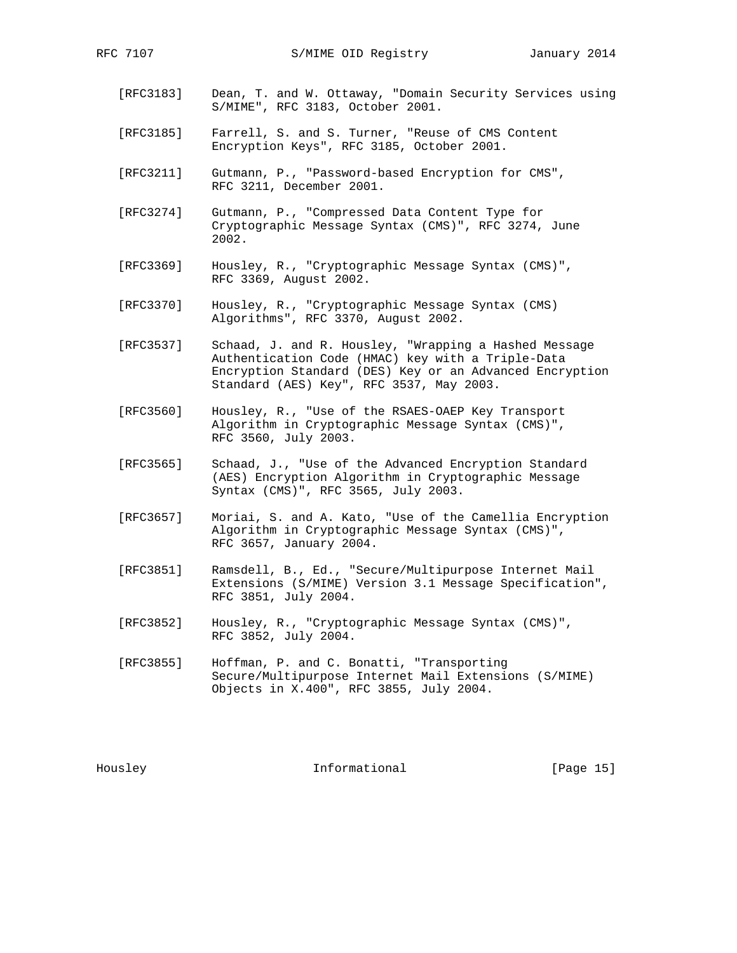- [RFC3183] Dean, T. and W. Ottaway, "Domain Security Services using S/MIME", RFC 3183, October 2001.
- [RFC3185] Farrell, S. and S. Turner, "Reuse of CMS Content Encryption Keys", RFC 3185, October 2001.
- [RFC3211] Gutmann, P., "Password-based Encryption for CMS", RFC 3211, December 2001.
- [RFC3274] Gutmann, P., "Compressed Data Content Type for Cryptographic Message Syntax (CMS)", RFC 3274, June 2002.
- [RFC3369] Housley, R., "Cryptographic Message Syntax (CMS)", RFC 3369, August 2002.
- [RFC3370] Housley, R., "Cryptographic Message Syntax (CMS) Algorithms", RFC 3370, August 2002.
- [RFC3537] Schaad, J. and R. Housley, "Wrapping a Hashed Message Authentication Code (HMAC) key with a Triple-Data Encryption Standard (DES) Key or an Advanced Encryption Standard (AES) Key", RFC 3537, May 2003.
- [RFC3560] Housley, R., "Use of the RSAES-OAEP Key Transport Algorithm in Cryptographic Message Syntax (CMS)", RFC 3560, July 2003.
- [RFC3565] Schaad, J., "Use of the Advanced Encryption Standard (AES) Encryption Algorithm in Cryptographic Message Syntax (CMS)", RFC 3565, July 2003.
- [RFC3657] Moriai, S. and A. Kato, "Use of the Camellia Encryption Algorithm in Cryptographic Message Syntax (CMS)", RFC 3657, January 2004.
- [RFC3851] Ramsdell, B., Ed., "Secure/Multipurpose Internet Mail Extensions (S/MIME) Version 3.1 Message Specification", RFC 3851, July 2004.
- [RFC3852] Housley, R., "Cryptographic Message Syntax (CMS)", RFC 3852, July 2004.
- [RFC3855] Hoffman, P. and C. Bonatti, "Transporting Secure/Multipurpose Internet Mail Extensions (S/MIME) Objects in X.400", RFC 3855, July 2004.

Housley **Informational** [Page 15]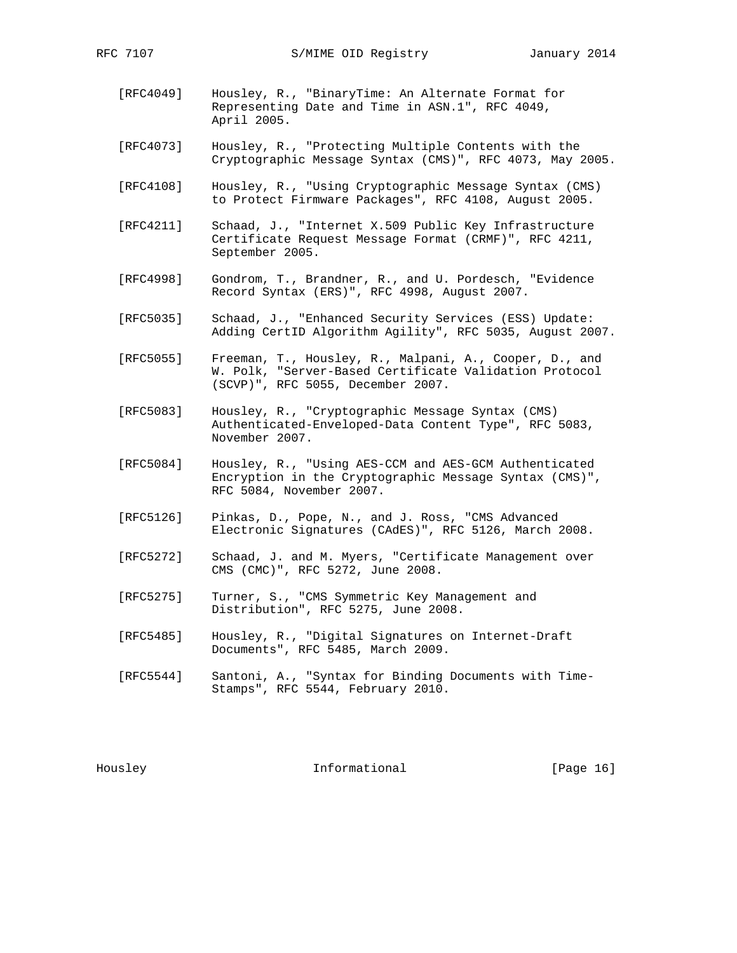- [RFC4049] Housley, R., "BinaryTime: An Alternate Format for Representing Date and Time in ASN.1", RFC 4049, April 2005.
- [RFC4073] Housley, R., "Protecting Multiple Contents with the Cryptographic Message Syntax (CMS)", RFC 4073, May 2005.
- [RFC4108] Housley, R., "Using Cryptographic Message Syntax (CMS) to Protect Firmware Packages", RFC 4108, August 2005.
- [RFC4211] Schaad, J., "Internet X.509 Public Key Infrastructure Certificate Request Message Format (CRMF)", RFC 4211, September 2005.
- [RFC4998] Gondrom, T., Brandner, R., and U. Pordesch, "Evidence Record Syntax (ERS)", RFC 4998, August 2007.
- [RFC5035] Schaad, J., "Enhanced Security Services (ESS) Update: Adding CertID Algorithm Agility", RFC 5035, August 2007.
- [RFC5055] Freeman, T., Housley, R., Malpani, A., Cooper, D., and W. Polk, "Server-Based Certificate Validation Protocol (SCVP)", RFC 5055, December 2007.
- [RFC5083] Housley, R., "Cryptographic Message Syntax (CMS) Authenticated-Enveloped-Data Content Type", RFC 5083, November 2007.
- [RFC5084] Housley, R., "Using AES-CCM and AES-GCM Authenticated Encryption in the Cryptographic Message Syntax (CMS)", RFC 5084, November 2007.
- [RFC5126] Pinkas, D., Pope, N., and J. Ross, "CMS Advanced Electronic Signatures (CAdES)", RFC 5126, March 2008.
- [RFC5272] Schaad, J. and M. Myers, "Certificate Management over CMS (CMC)", RFC 5272, June 2008.
- [RFC5275] Turner, S., "CMS Symmetric Key Management and Distribution", RFC 5275, June 2008.
- [RFC5485] Housley, R., "Digital Signatures on Internet-Draft Documents", RFC 5485, March 2009.
- [RFC5544] Santoni, A., "Syntax for Binding Documents with Time- Stamps", RFC 5544, February 2010.

Housley **Informational** [Page 16]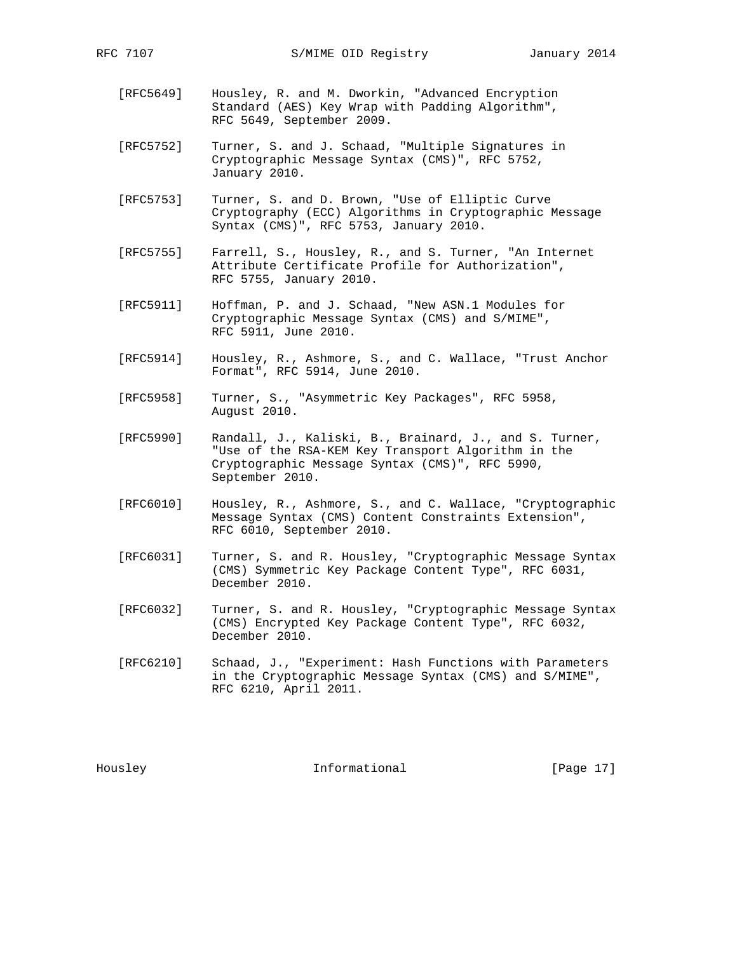- [RFC5649] Housley, R. and M. Dworkin, "Advanced Encryption Standard (AES) Key Wrap with Padding Algorithm", RFC 5649, September 2009.
- [RFC5752] Turner, S. and J. Schaad, "Multiple Signatures in Cryptographic Message Syntax (CMS)", RFC 5752, January 2010.
- [RFC5753] Turner, S. and D. Brown, "Use of Elliptic Curve Cryptography (ECC) Algorithms in Cryptographic Message Syntax (CMS)", RFC 5753, January 2010.
- [RFC5755] Farrell, S., Housley, R., and S. Turner, "An Internet Attribute Certificate Profile for Authorization", RFC 5755, January 2010.
- [RFC5911] Hoffman, P. and J. Schaad, "New ASN.1 Modules for Cryptographic Message Syntax (CMS) and S/MIME", RFC 5911, June 2010.
- [RFC5914] Housley, R., Ashmore, S., and C. Wallace, "Trust Anchor Format", RFC 5914, June 2010.
- [RFC5958] Turner, S., "Asymmetric Key Packages", RFC 5958, August 2010.
- [RFC5990] Randall, J., Kaliski, B., Brainard, J., and S. Turner, "Use of the RSA-KEM Key Transport Algorithm in the Cryptographic Message Syntax (CMS)", RFC 5990, September 2010.
- [RFC6010] Housley, R., Ashmore, S., and C. Wallace, "Cryptographic Message Syntax (CMS) Content Constraints Extension", RFC 6010, September 2010.
- [RFC6031] Turner, S. and R. Housley, "Cryptographic Message Syntax (CMS) Symmetric Key Package Content Type", RFC 6031, December 2010.
- [RFC6032] Turner, S. and R. Housley, "Cryptographic Message Syntax (CMS) Encrypted Key Package Content Type", RFC 6032, December 2010.
- [RFC6210] Schaad, J., "Experiment: Hash Functions with Parameters in the Cryptographic Message Syntax (CMS) and S/MIME", RFC 6210, April 2011.

Housley **Informational** [Page 17]